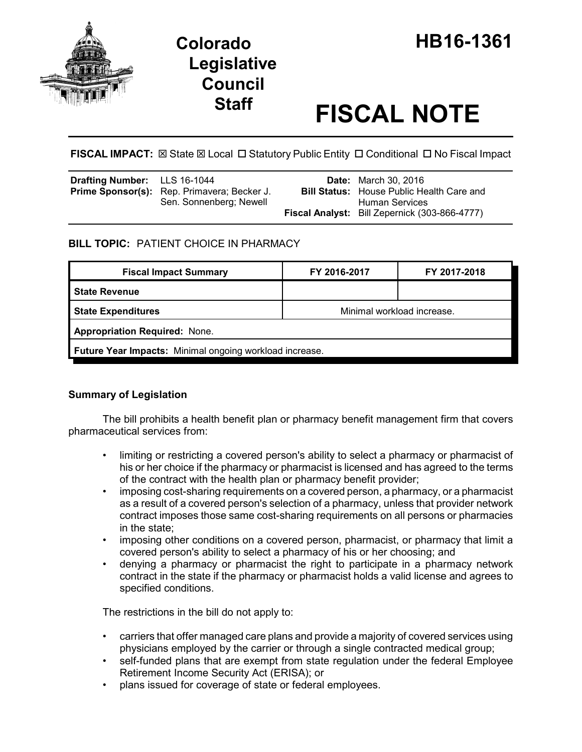

# **Legislative Council**

# **Staff FISCAL NOTE**

**FISCAL IMPACT:**  $\boxtimes$  **State**  $\boxtimes$  **Local □ Statutory Public Entity □ Conditional □ No Fiscal Impact** 

| <b>Drafting Number:</b> LLS 16-1044 |                                                                               | <b>Date:</b> March 30, 2016                                               |
|-------------------------------------|-------------------------------------------------------------------------------|---------------------------------------------------------------------------|
|                                     | <b>Prime Sponsor(s):</b> Rep. Primavera; Becker J.<br>Sen. Sonnenberg; Newell | <b>Bill Status:</b> House Public Health Care and<br><b>Human Services</b> |
|                                     |                                                                               | Fiscal Analyst: Bill Zepernick (303-866-4777)                             |

## **BILL TOPIC:** PATIENT CHOICE IN PHARMACY

| <b>Fiscal Impact Summary</b>                            | FY 2016-2017               | FY 2017-2018 |  |  |  |
|---------------------------------------------------------|----------------------------|--------------|--|--|--|
| <b>State Revenue</b>                                    |                            |              |  |  |  |
| <b>State Expenditures</b>                               | Minimal workload increase. |              |  |  |  |
| <b>Appropriation Required: None.</b>                    |                            |              |  |  |  |
| Future Year Impacts: Minimal ongoing workload increase. |                            |              |  |  |  |

### **Summary of Legislation**

The bill prohibits a health benefit plan or pharmacy benefit management firm that covers pharmaceutical services from:

- limiting or restricting a covered person's ability to select a pharmacy or pharmacist of his or her choice if the pharmacy or pharmacist is licensed and has agreed to the terms of the contract with the health plan or pharmacy benefit provider;
- imposing cost-sharing requirements on a covered person, a pharmacy, or a pharmacist as a result of a covered person's selection of a pharmacy, unless that provider network contract imposes those same cost-sharing requirements on all persons or pharmacies in the state;
- imposing other conditions on a covered person, pharmacist, or pharmacy that limit a covered person's ability to select a pharmacy of his or her choosing; and
- denying a pharmacy or pharmacist the right to participate in a pharmacy network contract in the state if the pharmacy or pharmacist holds a valid license and agrees to specified conditions.

The restrictions in the bill do not apply to:

- carriers that offer managed care plans and provide a majority of covered services using physicians employed by the carrier or through a single contracted medical group;
- self-funded plans that are exempt from state regulation under the federal Employee Retirement Income Security Act (ERISA); or
- plans issued for coverage of state or federal employees.